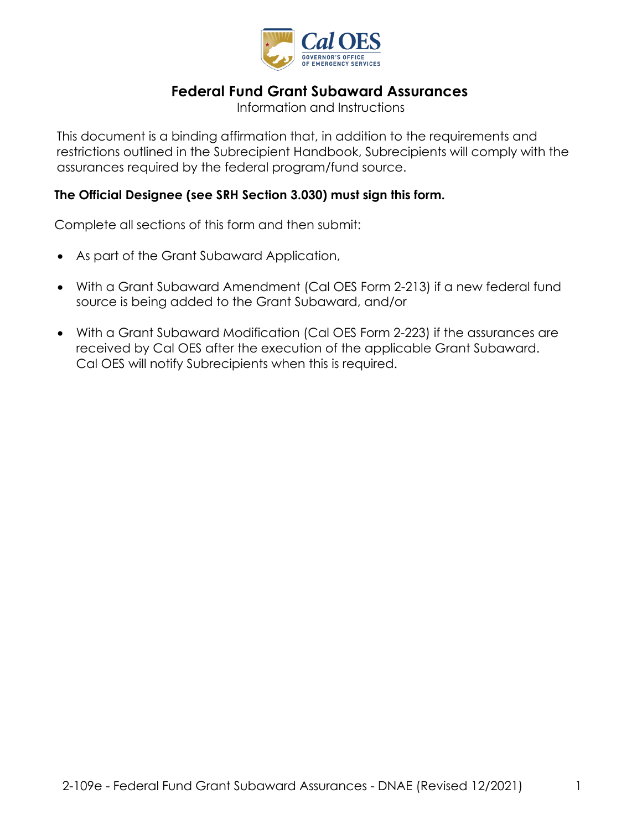

# **Federal Fund Grant Subaward Assurances**

Information and Instructions

 This document is a binding affirmation that, in addition to the requirements and restrictions outlined in the Subrecipient Handbook, Subrecipients will comply with the assurances required by the federal program/fund source.

### **The Official Designee (see SRH Section 3.030) must sign this form.**

Complete all sections of this form and then submit:

- As part of the Grant Subaward Application,
- • With a Grant Subaward Amendment (Cal OES Form 2-213) if a new federal fund source is being added to the Grant Subaward, and/or
- received by Cal OES after the execution of the applicable Grant Subaward.<br>Cal OES will notify Subrecipients when this is required. • With a Grant Subaward Modification (Cal OES Form 2-223) if the assurances are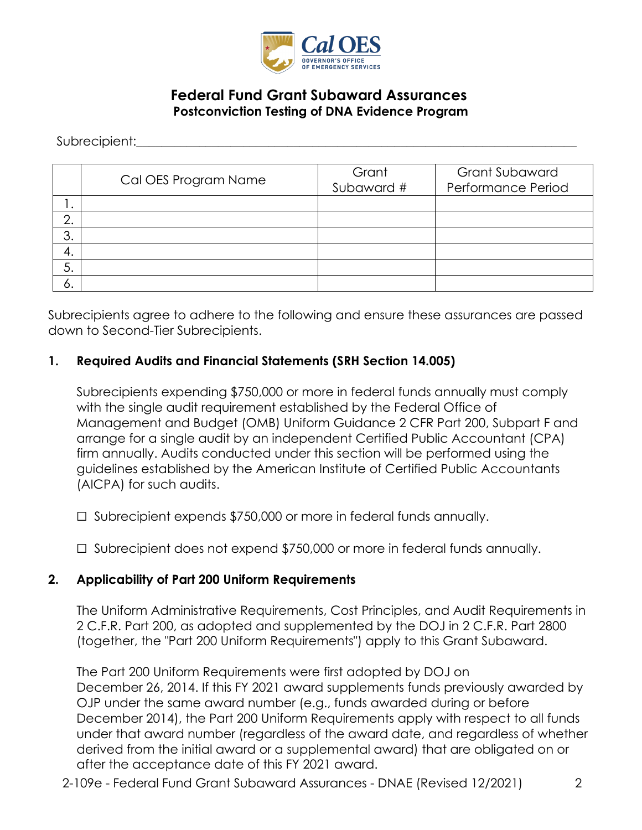

# **Federal Fund Grant Subaward Assurances Postconviction Testing of DNA Evidence Program**

Subrecipient:

|     | Cal OES Program Name | Grant<br>Subaward # | <b>Grant Subaward</b><br>Performance Period |
|-----|----------------------|---------------------|---------------------------------------------|
| . ا |                      |                     |                                             |
| ⌒   |                      |                     |                                             |
| 3.  |                      |                     |                                             |
| 4.  |                      |                     |                                             |
| 5.  |                      |                     |                                             |
| O.  |                      |                     |                                             |

Subrecipients agree to adhere to the following and ensure these assurances are passed down to Second-Tier Subrecipients.

### **1. Required Audits and Financial Statements (SRH Section 14.005)**

 Subrecipients expending \$750,000 or more in federal funds annually must comply with the single audit requirement established by the Federal Office of Management and Budget (OMB) Uniform Guidance 2 CFR Part 200, Subpart F and arrange for a single audit by an independent Certified Public Accountant (CPA) firm annually. Audits conducted under this section will be performed using the guidelines established by the American Institute of Certified Public Accountants (AICPA) for such audits.

☐ Subrecipient expends \$750,000 or more in federal funds annually.

☐ Subrecipient does not expend \$750,000 or more in federal funds annually.

### **2. Applicability of Part 200 Uniform Requirements**

The Uniform Administrative Requirements, Cost Principles, and Audit Requirements in 2 C.F.R. Part 200, as adopted and supplemented by the DOJ in 2 C.F.R. Part 2800 (together, the "Part 200 Uniform Requirements") apply to this Grant Subaward.

The Part 200 Uniform Requirements were first adopted by DOJ on December 26, 2014. If this FY 2021 award supplements funds previously awarded by OJP under the same award number (e.g., funds awarded during or before December 2014), the Part 200 Uniform Requirements apply with respect to all funds under that award number (regardless of the award date, and regardless of whether derived from the initial award or a supplemental award) that are obligated on or after the acceptance date of this FY 2021 award.

2-109e - Federal Fund Grant Subaward Assurances - DNAE (Revised 12/2021) 2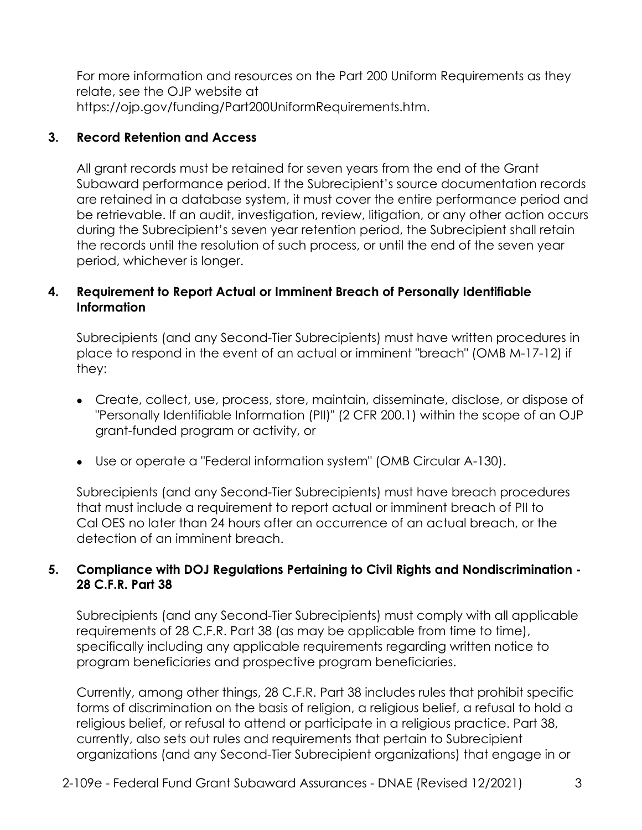For more information and resources on the Part 200 Uniform Requirements as they relate, see the OJP website at [https://ojp.gov/funding/Part200UniformRequirements.htm.](https://ojp.gov/funding/Part200UniformRequirements.htm)

# **3. Record Retention and Access**

 All grant records must be retained for seven years from the end of the Grant during the Subrecipient's seven year retention period, the Subrecipient shall retain Subaward performance period. If the Subrecipient's source documentation records are retained in a database system, it must cover the entire performance period and be retrievable. If an audit, investigation, review, litigation, or any other action occurs the records until the resolution of such process, or until the end of the seven year period, whichever is longer.

## **4. Requirement to Report Actual or Imminent Breach of Personally Identifiable Information**

Subrecipients (and any Second-Tier Subrecipients) must have written procedures in place to respond in the event of an actual or imminent "breach" (OMB M-17-12) if they:

- Create, collect, use, process, store, maintain, disseminate, disclose, or dispose of "Personally Identifiable Information (PII)" (2 CFR 200.1) within the scope of an OJP grant-funded program or activity, or
- Use or operate a "Federal information system" (OMB Circular A-130).

Subrecipients (and any Second-Tier Subrecipients) must have breach procedures that must include a requirement to report actual or imminent breach of PII to Cal OES no later than 24 hours after an occurrence of an actual breach, or the detection of an imminent breach.

### **5. Compliance with DOJ Regulations Pertaining to Civil Rights and Nondiscrimination - 28 C.F.R. Part 38**

Subrecipients (and any Second-Tier Subrecipients) must comply with all applicable requirements of 28 C.F.R. Part 38 (as may be applicable from time to time), specifically including any applicable requirements regarding written notice to program beneficiaries and prospective program beneficiaries.

Currently, among other things, 28 C.F.R. Part 38 includes rules that prohibit specific forms of discrimination on the basis of religion, a religious belief, a refusal to hold a religious belief, or refusal to attend or participate in a religious practice. Part 38, currently, also sets out rules and requirements that pertain to Subrecipient organizations (and any Second-Tier Subrecipient organizations) that engage in or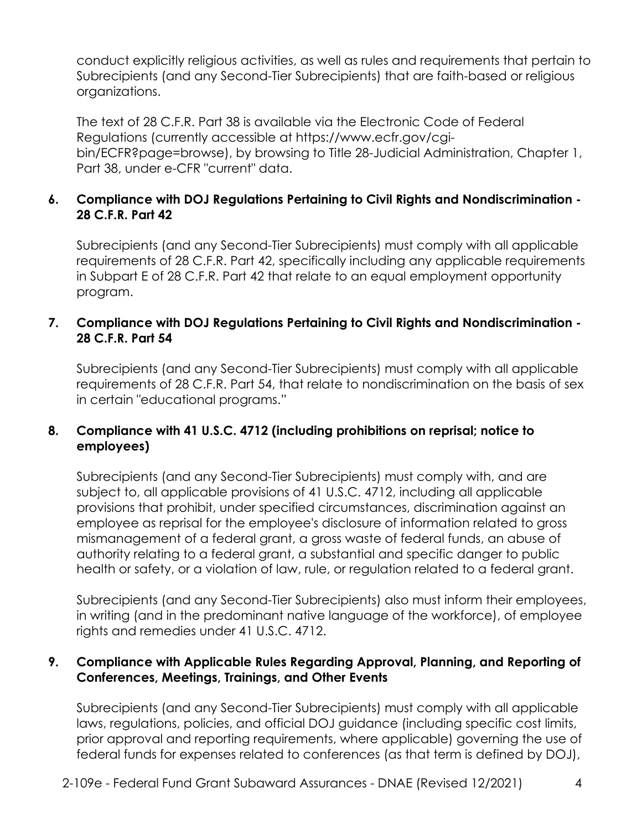conduct explicitly religious activities, as well as rules and requirements that pertain to Subrecipients (and any Second-Tier Subrecipients) that are faith-based or religious organizations.

The text of 28 C.F.R. Part 38 is available via the Electronic Code of Federal Regulations (currently accessible at<https://www.ecfr.gov/cgi>bin/ECFR?page=browse), by browsing to Title 28-Judicial Administration, Chapter 1, Part 38, under e-CFR "current" data.

# **6. Compliance with DOJ Regulations Pertaining to Civil Rights and Nondiscrimination - 28 C.F.R. Part 42**

Subrecipients (and any Second-Tier Subrecipients) must comply with all applicable requirements of 28 C.F.R. Part 42, specifically including any applicable requirements in Subpart E of 28 C.F.R. Part 42 that relate to an equal employment opportunity program.

### **7. Compliance with DOJ Regulations Pertaining to Civil Rights and Nondiscrimination - 28 C.F.R. Part 54**

Subrecipients (and any Second-Tier Subrecipients) must comply with all applicable requirements of 28 C.F.R. Part 54, that relate to nondiscrimination on the basis of sex in certain "educational programs."

### **8. Compliance with 41 U.S.C. 4712 (including prohibitions on reprisal; notice to employees)**

Subrecipients (and any Second-Tier Subrecipients) must comply with, and are subject to, all applicable provisions of 41 U.S.C. 4712, including all applicable provisions that prohibit, under specified circumstances, discrimination against an employee as reprisal for the employee's disclosure of information related to gross mismanagement of a federal grant, a gross waste of federal funds, an abuse of authority relating to a federal grant, a substantial and specific danger to public health or safety, or a violation of law, rule, or regulation related to a federal grant.

 Subrecipients (and any Second-Tier Subrecipients) also must inform their employees, in writing (and in the predominant native language of the workforce), of employee rights and remedies under 41 U.S.C. 4712.

### **9. Compliance with Applicable Rules Regarding Approval, Planning, and Reporting of Conferences, Meetings, Trainings, and Other Events**

 laws, regulations, policies, and official DOJ guidance (including specific cost limits, Subrecipients (and any Second-Tier Subrecipients) must comply with all applicable prior approval and reporting requirements, where applicable) governing the use of federal funds for expenses related to conferences (as that term is defined by DOJ),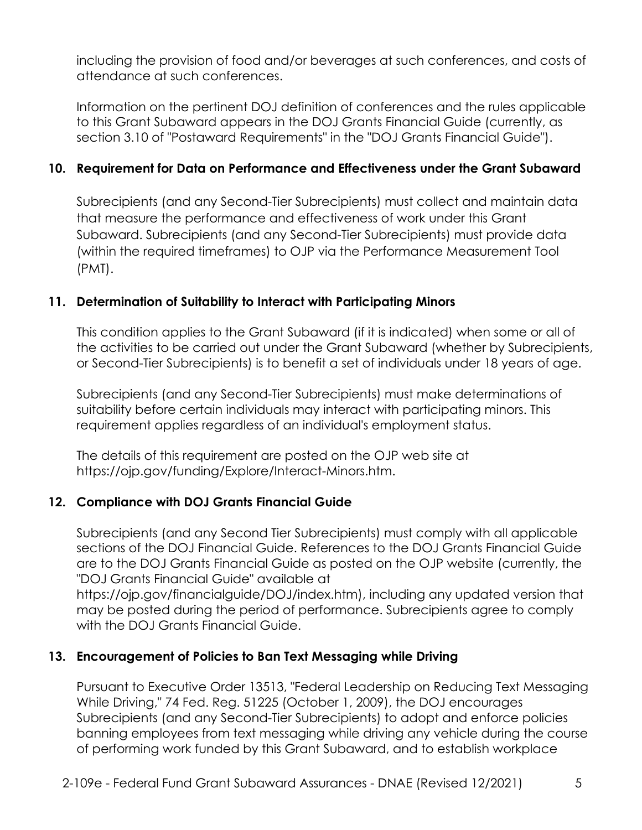including the provision of food and/or beverages at such conferences, and costs of attendance at such conferences.

 to this Grant Subaward appears in the DOJ Grants Financial Guide (currently, as Information on the pertinent DOJ definition of conferences and the rules applicable section 3.10 of "Postaward Requirements" in the "DOJ Grants Financial Guide").

## **10. Requirement for Data on Performance and Effectiveness under the Grant Subaward**

Subrecipients (and any Second-Tier Subrecipients) must collect and maintain data that measure the performance and effectiveness of work under this Grant Subaward. Subrecipients (and any Second-Tier Subrecipients) must provide data (within the required timeframes) to OJP via the Performance Measurement Tool (PMT).

### **11. Determination of Suitability to Interact with Participating Minors**

 This condition applies to the Grant Subaward (if it is indicated) when some or all of the activities to be carried out under the Grant Subaward (whether by Subrecipients, or Second-Tier Subrecipients) is to benefit a set of individuals under 18 years of age.

Subrecipients (and any Second-Tier Subrecipients) must make determinations of suitability before certain individuals may interact with participating minors. This requirement applies regardless of an individual's employment status.

The details of this requirement are posted on the OJP web site at <https://ojp.gov/funding/Explore/Interact-Minors.htm>.

### **12. Compliance with DOJ Grants Financial Guide**

Subrecipients (and any Second Tier Subrecipients) must comply with all applicable sections of the DOJ Financial Guide. References to the DOJ Grants Financial Guide are to the DOJ Grants Financial Guide as posted on the OJP website (currently, the "DOJ Grants Financial Guide" available at

<https://ojp.gov/financialguide/DOJ/index.htm>), including any updated version that may be posted during the period of performance. Subrecipients agree to comply with the DOJ Grants Financial Guide.

### **13. Encouragement of Policies to Ban Text Messaging while Driving**

 of performing work funded by this Grant Subaward, and to establish workplace Pursuant to Executive Order 13513, "Federal Leadership on Reducing Text Messaging While Driving," 74 Fed. Reg. 51225 (October 1, 2009), the DOJ encourages Subrecipients (and any Second-Tier Subrecipients) to adopt and enforce policies banning employees from text messaging while driving any vehicle during the course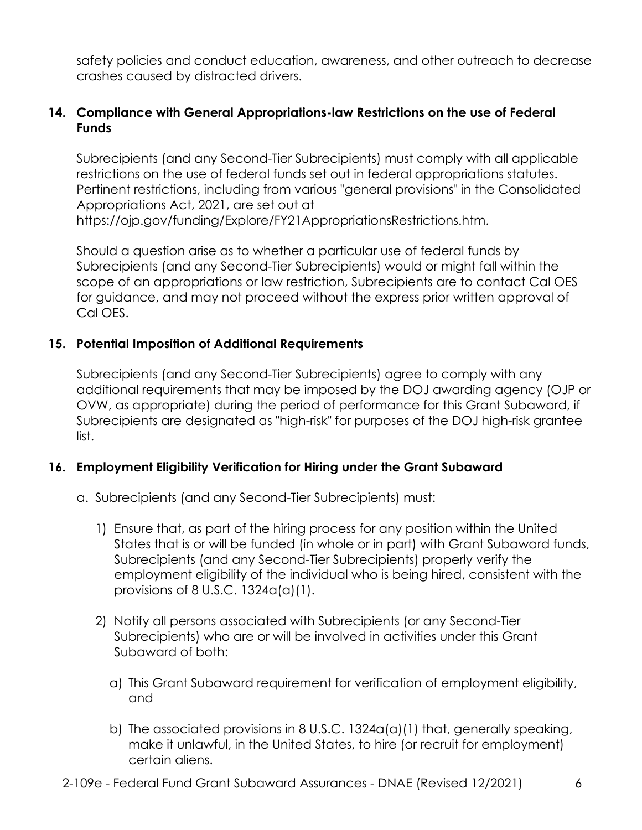safety policies and conduct education, awareness, and other outreach to decrease crashes caused by distracted drivers.

### **14. Compliance with General Appropriations-law Restrictions on the use of Federal Funds**

Subrecipients (and any Second-Tier Subrecipients) must comply with all applicable restrictions on the use of federal funds set out in federal appropriations statutes. Pertinent restrictions, including from various "general provisions" in the Consolidated Appropriations Act, 2021, are set out at <https://ojp.gov/funding/Explore/FY21AppropriationsRestrictions.htm>.

Should a question arise as to whether a particular use of federal funds by Subrecipients (and any Second-Tier Subrecipients) would or might fall within the scope of an appropriations or law restriction, Subrecipients are to contact Cal OES for guidance, and may not proceed without the express prior written approval of Cal OES.

#### **15. Potential Imposition of Additional Requirements**

Subrecipients (and any Second-Tier Subrecipients) agree to comply with any additional requirements that may be imposed by the DOJ awarding agency (OJP or OVW, as appropriate) during the period of performance for this Grant Subaward, if Subrecipients are designated as "high-risk" for purposes of the DOJ high-risk grantee list.

### **16. Employment Eligibility Verification for Hiring under the Grant Subaward**

- a. Subrecipients (and any Second-Tier Subrecipients) must:
	- 1) Ensure that, as part of the hiring process for any position within the United States that is or will be funded (in whole or in part) with Grant Subaward funds, Subrecipients (and any Second-Tier Subrecipients) properly verify the employment eligibility of the individual who is being hired, consistent with the provisions of 8 U.S.C. 1324a(a)(1).
	- 2) Notify all persons associated with Subrecipients (or any Second-Tier Subrecipients) who are or will be involved in activities under this Grant Subaward of both:
		- a) This Grant Subaward requirement for verification of employment eligibility, and
		- b) The associated provisions in 8 U.S.C. 1324a(a)(1) that, generally speaking, make it unlawful, in the United States, to hire (or recruit for employment) certain aliens.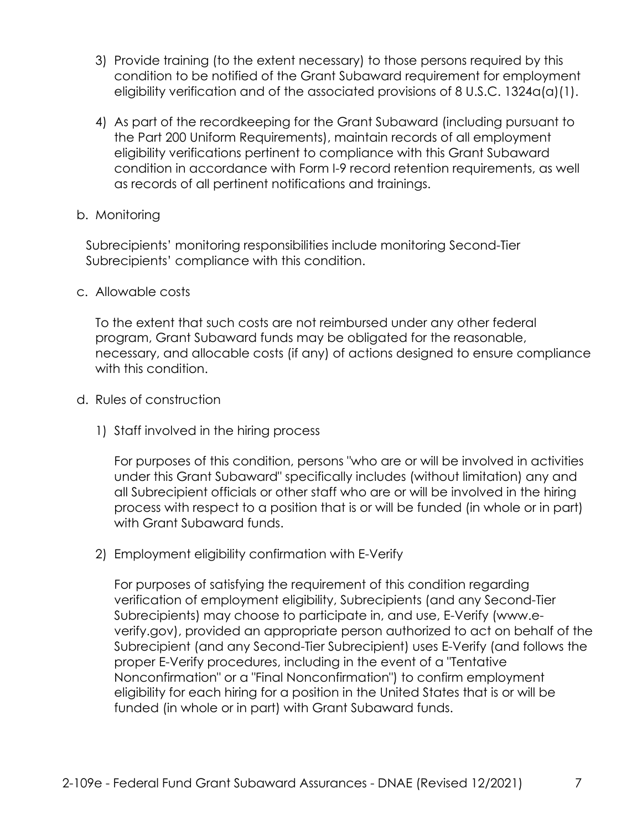- 3) Provide training (to the extent necessary) to those persons required by this condition to be notified of the Grant Subaward requirement for employment eligibility verification and of the associated provisions of 8 U.S.C. 1324a(a)(1).
- 4) As part of the recordkeeping for the Grant Subaward (including pursuant to the Part 200 Uniform Requirements), maintain records of all employment eligibility verifications pertinent to compliance with this Grant Subaward condition in accordance with Form I-9 record retention requirements, as well as records of all pertinent notifications and trainings.

#### b. Monitoring

Subrecipients' monitoring responsibilities include monitoring Second-Tier Subrecipients' compliance with this condition.

#### c. Allowable costs

To the extent that such costs are not reimbursed under any other federal program, Grant Subaward funds may be obligated for the reasonable, necessary, and allocable costs (if any) of actions designed to ensure compliance with this condition.

#### d. Rules of construction

1) Staff involved in the hiring process

For purposes of this condition, persons "who are or will be involved in activities under this Grant Subaward" specifically includes (without limitation) any and all Subrecipient officials or other staff who are or will be involved in the hiring process with respect to a position that is or will be funded (in whole or in part) with Grant Subaward funds.

2) Employment eligibility confirmation with E-Verify

For purposes of satisfying the requirement of this condition regarding verification of employment eligibility, Subrecipients (and any Second-Tier Subrecipients) may choose to participate in, and use, E-Verify (www.e[verify.gov\)](https://verify.gov), provided an appropriate person authorized to act on behalf of the Subrecipient (and any Second-Tier Subrecipient) uses E-Verify (and follows the proper E-Verify procedures, including in the event of a "Tentative Nonconfirmation" or a "Final Nonconfirmation") to confirm employment eligibility for each hiring for a position in the United States that is or will be funded (in whole or in part) with Grant Subaward funds.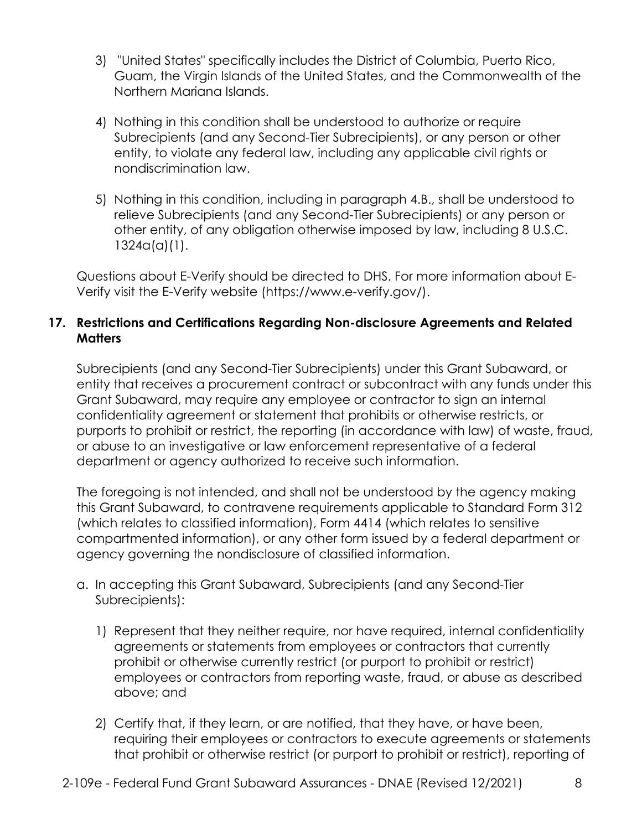- 3) "United States" specifically includes the District of Columbia, Puerto Rico, Guam, the Virgin Islands of the United States, and the Commonwealth of the Northern Mariana Islands.
- Subrecipients (and any Second-Tier Subrecipients), or any person or other 4) Nothing in this condition shall be understood to authorize or require entity, to violate any federal law, including any applicable civil rights or nondiscrimination law.
- 5) Nothing in this condition, including in paragraph 4.B., shall be understood to relieve Subrecipients (and any Second-Tier Subrecipients) or any person or other entity, of any obligation otherwise imposed by law, including 8 U.S.C. 1324a(a)(1).

 Verify visit the E-Verify website (<https://www.e-verify.gov>/). Questions about E-Verify should be directed to DHS. For more information about E-

## **17. Restrictions and Certifications Regarding Non-disclosure Agreements and Related Matters**

 Subrecipients (and any Second-Tier Subrecipients) under this Grant Subaward, or purports to prohibit or restrict, the reporting (in accordance with law) of waste, fraud, entity that receives a procurement contract or subcontract with any funds under this Grant Subaward, may require any employee or contractor to sign an internal confidentiality agreement or statement that prohibits or otherwise restricts, or or abuse to an investigative or law enforcement representative of a federal department or agency authorized to receive such information.

The foregoing is not intended, and shall not be understood by the agency making this Grant Subaward, to contravene requirements applicable to Standard Form 312 (which relates to classified information), Form 4414 (which relates to sensitive compartmented information), or any other form issued by a federal department or agency governing the nondisclosure of classified information.

- a. In accepting this Grant Subaward, Subrecipients (and any Second-Tier Subrecipients):
	- 1) Represent that they neither require, nor have required, internal confidentiality above; and agreements or statements from employees or contractors that currently prohibit or otherwise currently restrict (or purport to prohibit or restrict) employees or contractors from reporting waste, fraud, or abuse as described
	- 2) Certify that, if they learn, or are notified, that they have, or have been, requiring their employees or contractors to execute agreements or statements that prohibit or otherwise restrict (or purport to prohibit or restrict), reporting of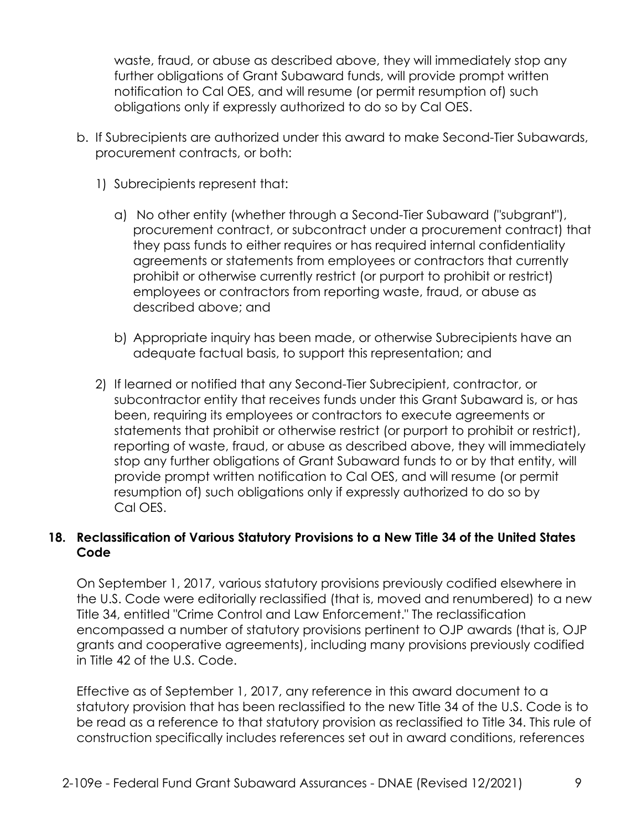waste, fraud, or abuse as described above, they will immediately stop any further obligations of Grant Subaward funds, will provide prompt written notification to Cal OES, and will resume (or permit resumption of) such obligations only if expressly authorized to do so by Cal OES.

- b. If Subrecipients are authorized under this award to make Second-Tier Subawards, procurement contracts, or both:
	- 1) Subrecipients represent that:
		- a) No other entity (whether through a Second-Tier Subaward ("subgrant"), procurement contract, or subcontract under a procurement contract) that they pass funds to either requires or has required internal confidentiality agreements or statements from employees or contractors that currently prohibit or otherwise currently restrict (or purport to prohibit or restrict) employees or contractors from reporting waste, fraud, or abuse as described above; and
		- b) Appropriate inquiry has been made, or otherwise Subrecipients have an adequate factual basis, to support this representation; and
	- subcontractor entity that receives funds under this Grant Subaward is, or has stop any further obligations of Grant Subaward funds to or by that entity, will 2) If learned or notified that any Second-Tier Subrecipient, contractor, or been, requiring its employees or contractors to execute agreements or statements that prohibit or otherwise restrict (or purport to prohibit or restrict), reporting of waste, fraud, or abuse as described above, they will immediately provide prompt written notification to Cal OES, and will resume (or permit resumption of) such obligations only if expressly authorized to do so by Cal OES.

# **18. Reclassification of Various Statutory Provisions to a New Title 34 of the United States Code**

 in Title 42 of the U.S. Code. On September 1, 2017, various statutory provisions previously codified elsewhere in the U.S. Code were editorially reclassified (that is, moved and renumbered) to a new Title 34, entitled "Crime Control and Law Enforcement." The reclassification encompassed a number of statutory provisions pertinent to OJP awards (that is, OJP grants and cooperative agreements), including many provisions previously codified

Effective as of September 1, 2017, any reference in this award document to a statutory provision that has been reclassified to the new Title 34 of the U.S. Code is to be read as a reference to that statutory provision as reclassified to Title 34. This rule of construction specifically includes references set out in award conditions, references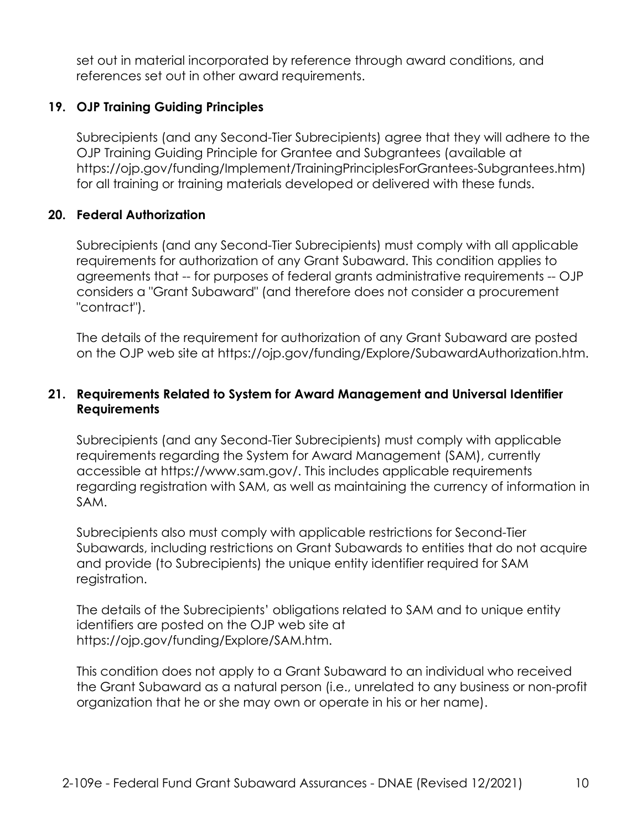set out in material incorporated by reference through award conditions, and references set out in other award requirements.

## **19. OJP Training Guiding Principles**

Subrecipients (and any Second-Tier Subrecipients) agree that they will adhere to the OJP Training Guiding Principle for Grantee and Subgrantees (available at [https://ojp.gov/funding/Implement/TrainingPrinciplesForGrantees-Subgrantees.htm\)](https://ojp.gov/funding/Implement/TrainingPrinciplesForGrantees-Subgrantees.htm) for all training or training materials developed or delivered with these funds.

### **20. Federal Authorization**

Subrecipients (and any Second-Tier Subrecipients) must comply with all applicable requirements for authorization of any Grant Subaward. This condition applies to agreements that -- for purposes of federal grants administrative requirements -- OJP considers a "Grant Subaward" (and therefore does not consider a procurement "contract").

The details of the requirement for authorization of any Grant Subaward are posted on the OJP web site at <https://ojp.gov/funding/Explore/SubawardAuthorization.htm>.

## **21. Requirements Related to System for Award Management and Universal Identifier Requirements**

Subrecipients (and any Second-Tier Subrecipients) must comply with applicable requirements regarding the System for Award Management (SAM), currently accessible at [https://www.sam.gov/](https://www.sam.gov). This includes applicable requirements regarding registration with SAM, as well as maintaining the currency of information in SAM.

 and provide (to Subrecipients) the unique entity identifier required for SAM Subrecipients also must comply with applicable restrictions for Second-Tier Subawards, including restrictions on Grant Subawards to entities that do not acquire registration.

The details of the Subrecipients' obligations related to SAM and to unique entity identifiers are posted on the OJP web site at [https://ojp.gov/funding/Explore/SAM.htm.](https://ojp.gov/funding/Explore/SAM.htm)

This condition does not apply to a Grant Subaward to an individual who received the Grant Subaward as a natural person (i.e., unrelated to any business or non-profit organization that he or she may own or operate in his or her name).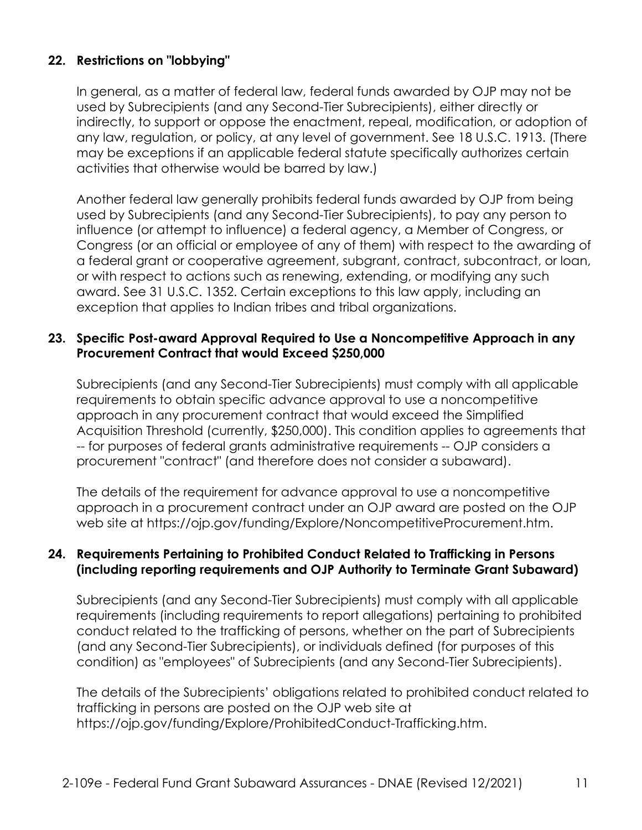# **22. Restrictions on "lobbying"**

In general, as a matter of federal law, federal funds awarded by OJP may not be used by Subrecipients (and any Second-Tier Subrecipients), either directly or indirectly, to support or oppose the enactment, repeal, modification, or adoption of any law, regulation, or policy, at any level of government. See 18 U.S.C. 1913. (There may be exceptions if an applicable federal statute specifically authorizes certain activities that otherwise would be barred by law.)

Another federal law generally prohibits federal funds awarded by OJP from being used by Subrecipients (and any Second-Tier Subrecipients), to pay any person to influence (or attempt to influence) a federal agency, a Member of Congress, or Congress (or an official or employee of any of them) with respect to the awarding of a federal grant or cooperative agreement, subgrant, contract, subcontract, or loan, or with respect to actions such as renewing, extending, or modifying any such award. See 31 U.S.C. 1352. Certain exceptions to this law apply, including an exception that applies to Indian tribes and tribal organizations.

#### **23. Specific Post-award Approval Required to Use a Noncompetitive Approach in any Procurement Contract that would Exceed \$250,000**

 Acquisition Threshold (currently, \$250,000). This condition applies to agreements that Subrecipients (and any Second-Tier Subrecipients) must comply with all applicable requirements to obtain specific advance approval to use a noncompetitive approach in any procurement contract that would exceed the Simplified -- for purposes of federal grants administrative requirements -- OJP considers a procurement "contract" (and therefore does not consider a subaward).

 web site at<https://ojp.gov/funding/Explore/NoncompetitiveProcurement.htm>. The details of the requirement for advance approval to use a noncompetitive approach in a procurement contract under an OJP award are posted on the OJP

### **(including reporting requirements and OJP Authority to Terminate Grant Subaward) 24. Requirements Pertaining to Prohibited Conduct Related to Trafficking in Persons**

Subrecipients (and any Second-Tier Subrecipients) must comply with all applicable requirements (including requirements to report allegations) pertaining to prohibited conduct related to the trafficking of persons, whether on the part of Subrecipients (and any Second-Tier Subrecipients), or individuals defined (for purposes of this condition) as "employees" of Subrecipients (and any Second-Tier Subrecipients).

The details of the Subrecipients' obligations related to prohibited conduct related to trafficking in persons are posted on the OJP web site at <https://ojp.gov/funding/Explore/ProhibitedConduct-Trafficking.htm>.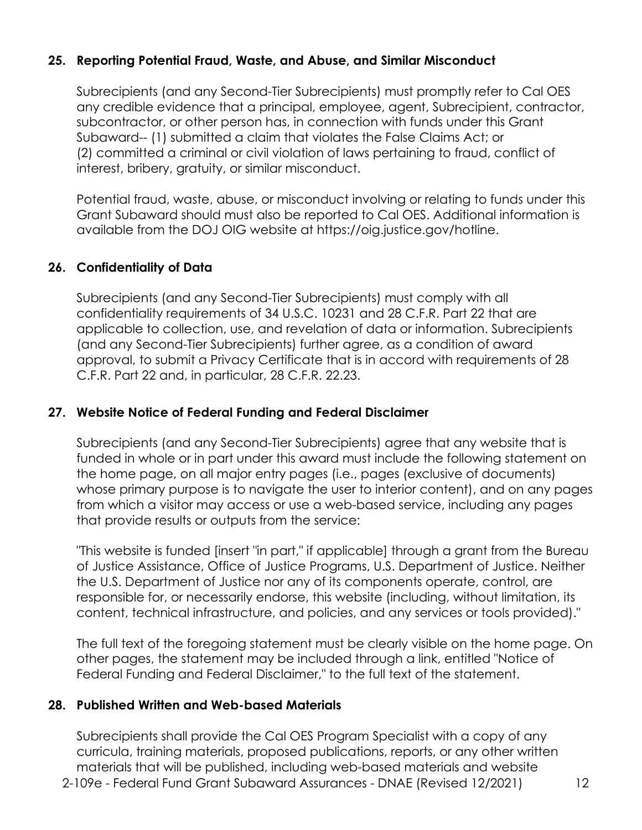## **25. Reporting Potential Fraud, Waste, and Abuse, and Similar Misconduct**

Subrecipients (and any Second-Tier Subrecipients) must promptly refer to Cal OES any credible evidence that a principal, employee, agent, Subrecipient, contractor, subcontractor, or other person has, in connection with funds under this Grant Subaward-- (1) submitted a claim that violates the False Claims Act; or (2) committed a criminal or civil violation of laws pertaining to fraud, conflict of interest, bribery, gratuity, or similar misconduct.

 Grant Subaward should must also be reported to Cal OES. Additional information is Potential fraud, waste, abuse, or misconduct involving or relating to funds under this available from the DOJ OIG website at [https://oig.justice.gov/hotline.](https://oig.justice.gov/hotline)

### **26. Confidentiality of Data**

 approval, to submit a Privacy Certificate that is in accord with requirements of 28 Subrecipients (and any Second-Tier Subrecipients) must comply with all confidentiality requirements of 34 U.S.C. 10231 and 28 C.F.R. Part 22 that are applicable to collection, use, and revelation of data or information. Subrecipients (and any Second-Tier Subrecipients) further agree, as a condition of award C.F.R. Part 22 and, in particular, 28 C.F.R. 22.23.

### **27. Website Notice of Federal Funding and Federal Disclaimer**

 whose primary purpose is to navigate the user to interior content), and on any pages Subrecipients (and any Second-Tier Subrecipients) agree that any website that is funded in whole or in part under this award must include the following statement on the home page, on all major entry pages (i.e., pages (exclusive of documents) from which a visitor may access or use a web-based service, including any pages that provide results or outputs from the service:

 "This website is funded [insert "in part," if applicable] through a grant from the Bureau of Justice Assistance, Office of Justice Programs, U.S. Department of Justice. Neither the U.S. Department of Justice nor any of its components operate, control, are responsible for, or necessarily endorse, this website (including, without limitation, its content, technical infrastructure, and policies, and any services or tools provided)."

The full text of the foregoing statement must be clearly visible on the home page. On other pages, the statement may be included through a link, entitled "Notice of Federal Funding and Federal Disclaimer," to the full text of the statement.

### **28. Published Written and Web-based Materials**

Subrecipients shall provide the Cal OES Program Specialist with a copy of any curricula, training materials, proposed publications, reports, or any other written materials that will be published, including web-based materials and website

2-109e - Federal Fund Grant Subaward Assurances - DNAE (Revised 12/2021) 12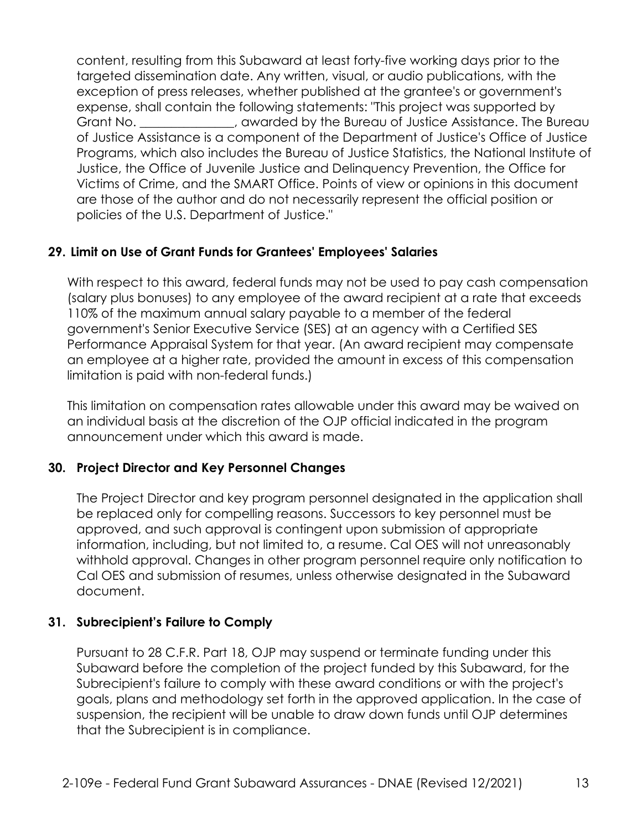content, resulting from this Subaward at least forty-five working days prior to the expense, shall contain the following statements: "This project was supported by targeted dissemination date. Any written, visual, or audio publications, with the exception of press releases, whether published at the grantee's or government's Grant No.  $\blacksquare$ , awarded by the Bureau of Justice Assistance. The Bureau of Justice Assistance is a component of the Department of Justice's Office of Justice Programs, which also includes the Bureau of Justice Statistics, the National Institute of Justice, the Office of Juvenile Justice and Delinquency Prevention, the Office for Victims of Crime, and the SMART Office. Points of view or opinions in this document are those of the author and do not necessarily represent the official position or policies of the U.S. Department of Justice."

### **29. Limit on Use of Grant Funds for Grantees' Employees' Salaries**

With respect to this award, federal funds may not be used to pay cash compensation (salary plus bonuses) to any employee of the award recipient at a rate that exceeds 110% of the maximum annual salary payable to a member of the federal government's Senior Executive Service (SES) at an agency with a Certified SES Performance Appraisal System for that year. (An award recipient may compensate an employee at a higher rate, provided the amount in excess of this compensation limitation is paid with non-federal funds.)

This limitation on compensation rates allowable under this award may be waived on an individual basis at the discretion of the OJP official indicated in the program announcement under which this award is made.

# **30. Project Director and Key Personnel Changes**

The Project Director and key program personnel designated in the application shall be replaced only for compelling reasons. Successors to key personnel must be approved, and such approval is contingent upon submission of appropriate information, including, but not limited to, a resume. Cal OES will not unreasonably withhold approval. Changes in other program personnel require only notification to Cal OES and submission of resumes, unless otherwise designated in the Subaward document.

### **31. Subrecipient's Failure to Comply**

Pursuant to 28 C.F.R. Part 18, OJP may suspend or terminate funding under this Subaward before the completion of the project funded by this Subaward, for the Subrecipient's failure to comply with these award conditions or with the project's goals, plans and methodology set forth in the approved application. In the case of suspension, the recipient will be unable to draw down funds until OJP determines that the Subrecipient is in compliance.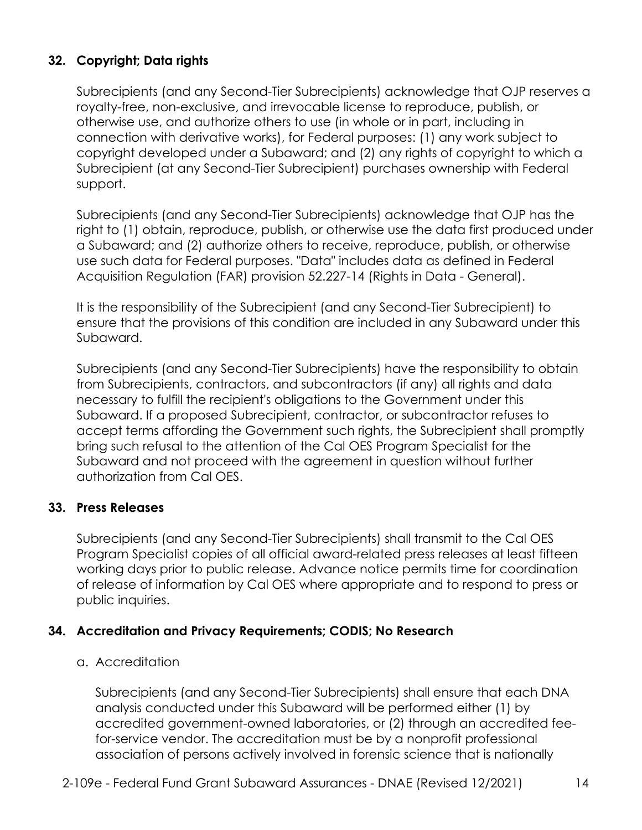# **32. Copyright; Data rights**

Subrecipients (and any Second-Tier Subrecipients) acknowledge that OJP reserves a royalty-free, non-exclusive, and irrevocable license to reproduce, publish, or otherwise use, and authorize others to use (in whole or in part, including in connection with derivative works), for Federal purposes: (1) any work subject to copyright developed under a Subaward; and (2) any rights of copyright to which a Subrecipient (at any Second-Tier Subrecipient) purchases ownership with Federal support.

 Acquisition Regulation (FAR) provision 52.227-14 (Rights in Data - General). Subrecipients (and any Second-Tier Subrecipients) acknowledge that OJP has the right to (1) obtain, reproduce, publish, or otherwise use the data first produced under a Subaward; and (2) authorize others to receive, reproduce, publish, or otherwise use such data for Federal purposes. "Data" includes data as defined in Federal

It is the responsibility of the Subrecipient (and any Second-Tier Subrecipient) to ensure that the provisions of this condition are included in any Subaward under this Subaward.

 Subaward. If a proposed Subrecipient, contractor, or subcontractor refuses to Subrecipients (and any Second-Tier Subrecipients) have the responsibility to obtain from Subrecipients, contractors, and subcontractors (if any) all rights and data necessary to fulfill the recipient's obligations to the Government under this accept terms affording the Government such rights, the Subrecipient shall promptly bring such refusal to the attention of the Cal OES Program Specialist for the Subaward and not proceed with the agreement in question without further authorization from Cal OES.

### **33. Press Releases**

Subrecipients (and any Second-Tier Subrecipients) shall transmit to the Cal OES Program Specialist copies of all official award-related press releases at least fifteen working days prior to public release. Advance notice permits time for coordination of release of information by Cal OES where appropriate and to respond to press or public inquiries.

### **34. Accreditation and Privacy Requirements; CODIS; No Research**

#### a. Accreditation

Subrecipients (and any Second-Tier Subrecipients) shall ensure that each DNA analysis conducted under this Subaward will be performed either (1) by accredited government-owned laboratories, or (2) through an accredited feefor-service vendor. The accreditation must be by a nonprofit professional association of persons actively involved in forensic science that is nationally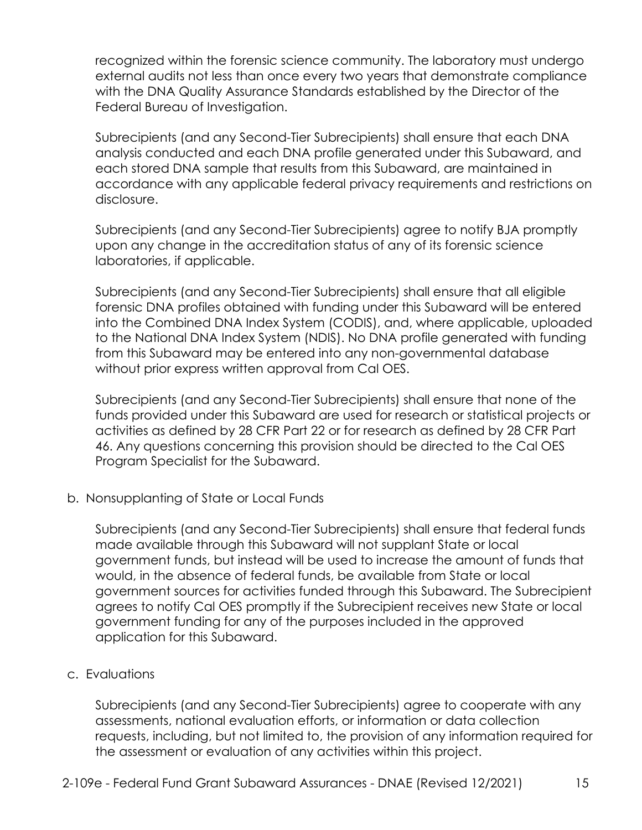recognized within the forensic science community. The laboratory must undergo external audits not less than once every two years that demonstrate compliance with the DNA Quality Assurance Standards established by the Director of the Federal Bureau of Investigation.

Subrecipients (and any Second-Tier Subrecipients) shall ensure that each DNA analysis conducted and each DNA profile generated under this Subaward, and each stored DNA sample that results from this Subaward, are maintained in accordance with any applicable federal privacy requirements and restrictions on disclosure.

Subrecipients (and any Second-Tier Subrecipients) agree to notify BJA promptly upon any change in the accreditation status of any of its forensic science laboratories, if applicable.

Subrecipients (and any Second-Tier Subrecipients) shall ensure that all eligible forensic DNA profiles obtained with funding under this Subaward will be entered into the Combined DNA Index System (CODIS), and, where applicable, uploaded to the National DNA Index System (NDIS). No DNA profile generated with funding from this Subaward may be entered into any non-governmental database without prior express written approval from Cal OES.

Program Specialist for the Subaward. Subrecipients (and any Second-Tier Subrecipients) shall ensure that none of the funds provided under this Subaward are used for research or statistical projects or activities as defined by 28 CFR Part 22 or for research as defined by 28 CFR Part 46. Any questions concerning this provision should be directed to the Cal OES

b. Nonsupplanting of State or Local Funds.

 agrees to notify Cal OES promptly if the Subrecipient receives new State or local Subrecipients (and any Second-Tier Subrecipients) shall ensure that federal funds made available through this Subaward will not supplant State or local government funds, but instead will be used to increase the amount of funds that would, in the absence of federal funds, be available from State or local government sources for activities funded through this Subaward. The Subrecipient government funding for any of the purposes included in the approved application for this Subaward.

### c. Evaluations

Subrecipients (and any Second-Tier Subrecipients) agree to cooperate with any assessments, national evaluation efforts, or information or data collection requests, including, but not limited to, the provision of any information required for the assessment or evaluation of any activities within this project.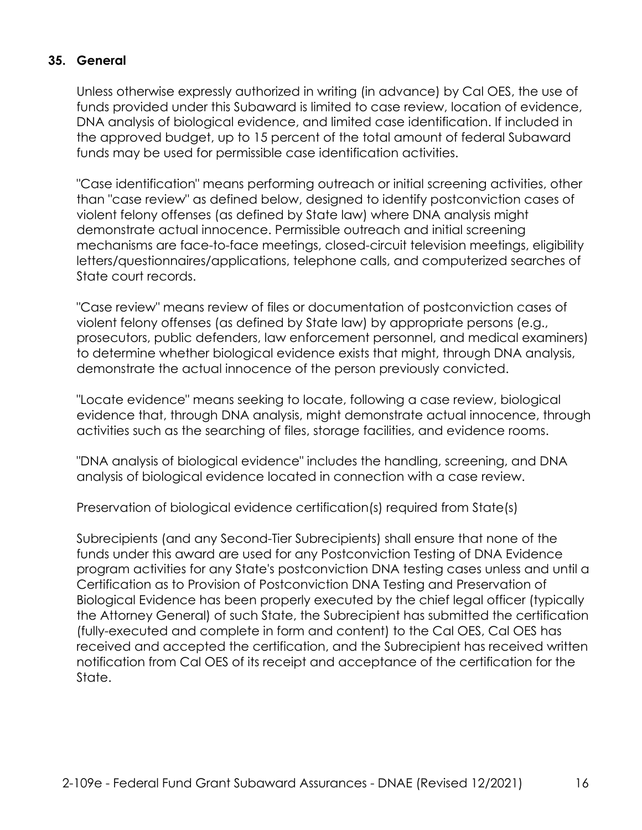### **35. General**

Unless otherwise expressly authorized in writing (in advance) by Cal OES, the use of funds provided under this Subaward is limited to case review, location of evidence, DNA analysis of biological evidence, and limited case identification. If included in the approved budget, up to 15 percent of the total amount of federal Subaward funds may be used for permissible case identification activities.

"Case identification" means performing outreach or initial screening activities, other than "case review" as defined below, designed to identify postconviction cases of violent felony offenses (as defined by State law) where DNA analysis might demonstrate actual innocence. Permissible outreach and initial screening mechanisms are face-to-face meetings, closed-circuit television meetings, eligibility letters/questionnaires/applications, telephone calls, and computerized searches of State court records.

"Case review" means review of files or documentation of postconviction cases of violent felony offenses (as defined by State law) by appropriate persons (e.g., prosecutors, public defenders, law enforcement personnel, and medical examiners) to determine whether biological evidence exists that might, through DNA analysis, demonstrate the actual innocence of the person previously convicted.

"Locate evidence" means seeking to locate, following a case review, biological evidence that, through DNA analysis, might demonstrate actual innocence, through activities such as the searching of files, storage facilities, and evidence rooms.

"DNA analysis of biological evidence" includes the handling, screening, and DNA analysis of biological evidence located in connection with a case review.

Preservation of biological evidence certification(s) required from State(s)

Subrecipients (and any Second-Tier Subrecipients) shall ensure that none of the funds under this award are used for any Postconviction Testing of DNA Evidence program activities for any State's postconviction DNA testing cases unless and until a Certification as to Provision of Postconviction DNA Testing and Preservation of Biological Evidence has been properly executed by the chief legal officer (typically the Attorney General) of such State, the Subrecipient has submitted the certification (fully-executed and complete in form and content) to the Cal OES, Cal OES has received and accepted the certification, and the Subrecipient has received written notification from Cal OES of its receipt and acceptance of the certification for the State.